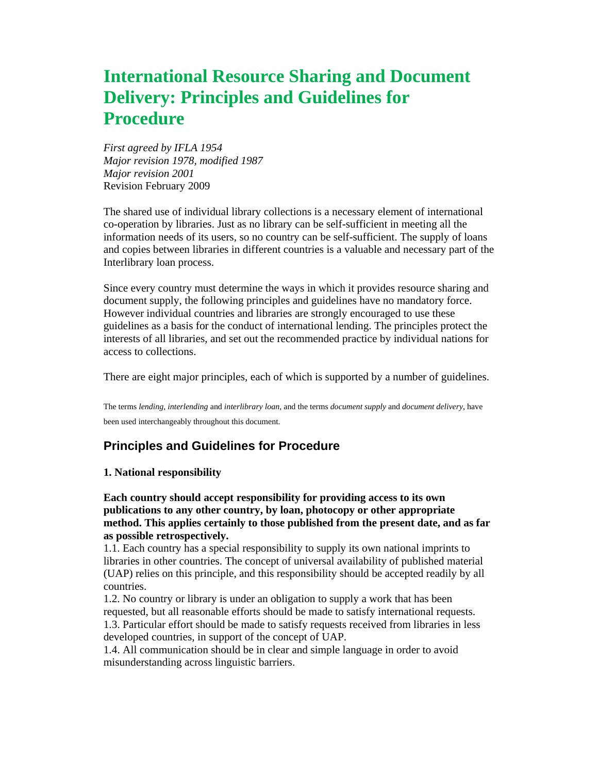# **International Resource Sharing and Document Delivery: Principles and Guidelines for Procedure**

*First agreed by IFLA 1954 Major revision 1978, modified 1987 Major revision 2001* Revision February 2009

The shared use of individual library collections is a necessary element of international co-operation by libraries. Just as no library can be self-sufficient in meeting all the information needs of its users, so no country can be self-sufficient. The supply of loans and copies between libraries in different countries is a valuable and necessary part of the Interlibrary loan process.

Since every country must determine the ways in which it provides resource sharing and document supply, the following principles and guidelines have no mandatory force. However individual countries and libraries are strongly encouraged to use these guidelines as a basis for the conduct of international lending. The principles protect the interests of all libraries, and set out the recommended practice by individual nations for access to collections.

There are eight major principles, each of which is supported by a number of guidelines.

The terms *lending, interlending* and *interlibrary loan,* and the terms *document supply* and *document delivery*, have been used interchangeably throughout this document.

## **Principles and Guidelines for Procedure**

## **1. National responsibility**

**Each country should accept responsibility for providing access to its own publications to any other country, by loan, photocopy or other appropriate method. This applies certainly to those published from the present date, and as far as possible retrospectively.**

1.1. Each country has a special responsibility to supply its own national imprints to libraries in other countries. The concept of universal availability of published material (UAP) relies on this principle, and this responsibility should be accepted readily by all countries.

1.2. No country or library is under an obligation to supply a work that has been requested, but all reasonable efforts should be made to satisfy international requests. 1.3. Particular effort should be made to satisfy requests received from libraries in less developed countries, in support of the concept of UAP.

1.4. All communication should be in clear and simple language in order to avoid misunderstanding across linguistic barriers.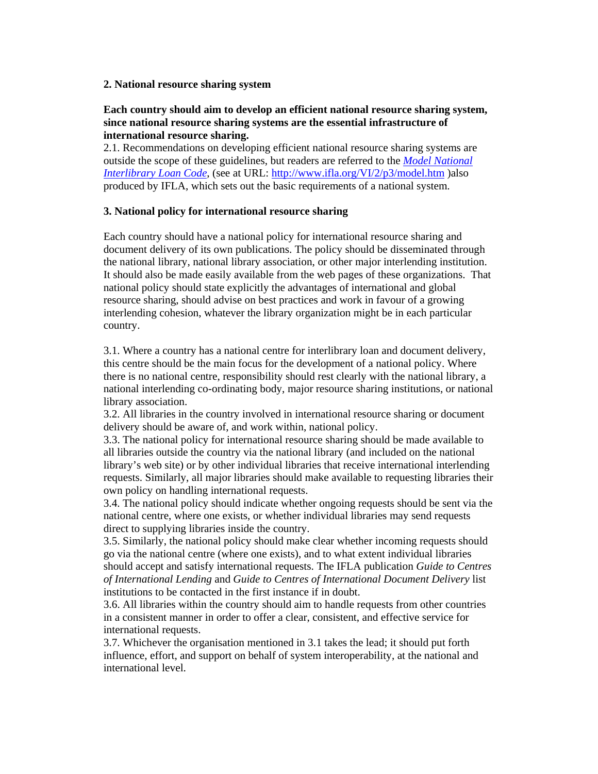## **2. National resource sharing system**

## **Each country should aim to develop an efficient national resource sharing system, since national resource sharing systems are the essential infrastructure of international resource sharing.**

2.1. Recommendations on developing efficient national resource sharing systems are outside the scope of these guidelines, but readers are referred to the *Model National Interlibrary Loan Code*, (see at URL: http://www.ifla.org/VI/2/p3/model.htm )also produced by IFLA, which sets out the basic requirements of a national system.

## **3. National policy for international resource sharing**

Each country should have a national policy for international resource sharing and document delivery of its own publications. The policy should be disseminated through the national library, national library association, or other major interlending institution. It should also be made easily available from the web pages of these organizations. That national policy should state explicitly the advantages of international and global resource sharing, should advise on best practices and work in favour of a growing interlending cohesion, whatever the library organization might be in each particular country.

3.1. Where a country has a national centre for interlibrary loan and document delivery, this centre should be the main focus for the development of a national policy. Where there is no national centre, responsibility should rest clearly with the national library, a national interlending co-ordinating body, major resource sharing institutions, or national library association.

3.2. All libraries in the country involved in international resource sharing or document delivery should be aware of, and work within, national policy.

3.3. The national policy for international resource sharing should be made available to all libraries outside the country via the national library (and included on the national library's web site) or by other individual libraries that receive international interlending requests. Similarly, all major libraries should make available to requesting libraries their own policy on handling international requests.

3.4. The national policy should indicate whether ongoing requests should be sent via the national centre, where one exists, or whether individual libraries may send requests direct to supplying libraries inside the country.

3.5. Similarly, the national policy should make clear whether incoming requests should go via the national centre (where one exists), and to what extent individual libraries should accept and satisfy international requests. The IFLA publication *Guide to Centres of International Lending* and *Guide to Centres of International Document Delivery* list institutions to be contacted in the first instance if in doubt.

3.6. All libraries within the country should aim to handle requests from other countries in a consistent manner in order to offer a clear, consistent, and effective service for international requests.

3.7. Whichever the organisation mentioned in 3.1 takes the lead; it should put forth influence, effort, and support on behalf of system interoperability, at the national and international level.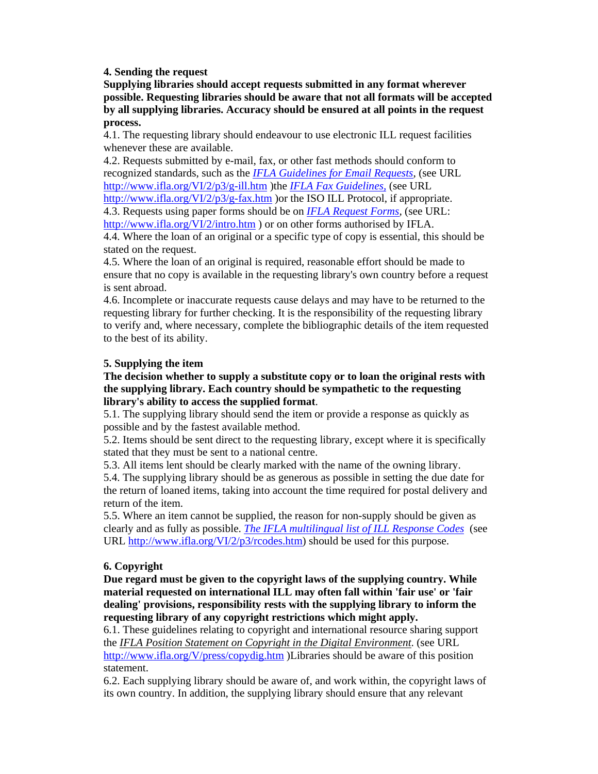**4. Sending the request**

**Supplying libraries should accept requests submitted in any format wherever possible. Requesting libraries should be aware that not all formats will be accepted by all supplying libraries. Accuracy should be ensured at all points in the request process.**

4.1. The requesting library should endeavour to use electronic ILL request facilities whenever these are available.

4.2. Requests submitted by e-mail, fax, or other fast methods should conform to recognized standards, such as the *IFLA Guidelines for Email Requests*, (see URL http://www.ifla.org/VI/2/p3/g-ill.htm )the *IFLA Fax Guidelines,* (see URL

http://www.ifla.org/VI/2/p3/g-fax.htm )or the ISO ILL Protocol, if appropriate. 4.3. Requests using paper forms should be on *IFLA Request Forms*, (see URL:

http://www.ifla.org/VI/2/intro.htm ) or on other forms authorised by IFLA.

4.4. Where the loan of an original or a specific type of copy is essential, this should be stated on the request.

4.5. Where the loan of an original is required, reasonable effort should be made to ensure that no copy is available in the requesting library's own country before a request is sent abroad.

4.6. Incomplete or inaccurate requests cause delays and may have to be returned to the requesting library for further checking. It is the responsibility of the requesting library to verify and, where necessary, complete the bibliographic details of the item requested to the best of its ability.

## **5. Supplying the item**

## **The decision whether to supply a substitute copy or to loan the original rests with the supplying library. Each country should be sympathetic to the requesting library's ability to access the supplied format**.

5.1. The supplying library should send the item or provide a response as quickly as possible and by the fastest available method.

5.2. Items should be sent direct to the requesting library, except where it is specifically stated that they must be sent to a national centre.

5.3. All items lent should be clearly marked with the name of the owning library.

5.4. The supplying library should be as generous as possible in setting the due date for the return of loaned items, taking into account the time required for postal delivery and return of the item.

5.5. Where an item cannot be supplied, the reason for non-supply should be given as clearly and as fully as possible. *The IFLA multilingual list of ILL Response Codes* (see URL http://www.ifla.org/VI/2/p3/rcodes.htm) should be used for this purpose.

## **6. Copyright**

**Due regard must be given to the copyright laws of the supplying country. While material requested on international ILL may often fall within 'fair use' or 'fair dealing' provisions, responsibility rests with the supplying library to inform the requesting library of any copyright restrictions which might apply.**

6.1. These guidelines relating to copyright and international resource sharing support the *IFLA Position Statement on Copyright in the Digital Environment*. (see URL http://www.ifla.org/V/press/copydig.htm )Libraries should be aware of this position statement.

6.2. Each supplying library should be aware of, and work within, the copyright laws of its own country. In addition, the supplying library should ensure that any relevant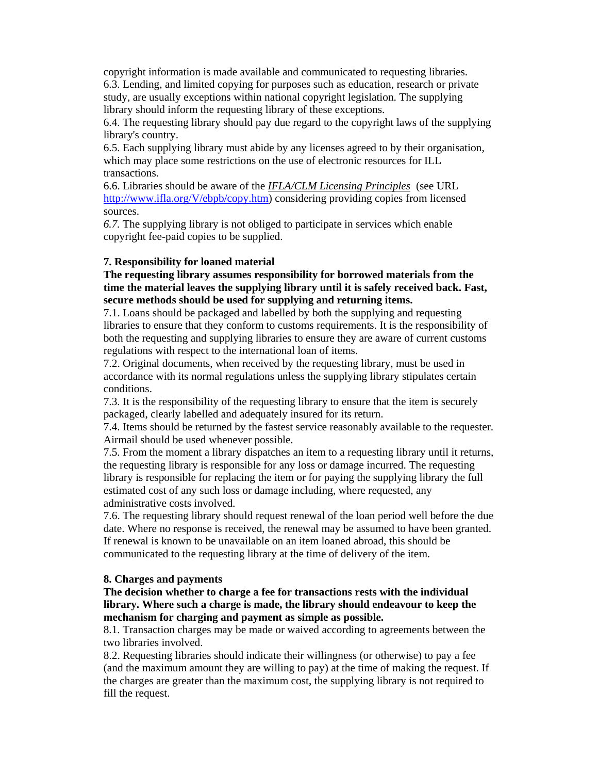copyright information is made available and communicated to requesting libraries. 6.3. Lending, and limited copying for purposes such as education, research or private study, are usually exceptions within national copyright legislation. The supplying library should inform the requesting library of these exceptions.

6.4. The requesting library should pay due regard to the copyright laws of the supplying library's country.

6.5. Each supplying library must abide by any licenses agreed to by their organisation, which may place some restrictions on the use of electronic resources for ILL transactions.

6.6. Libraries should be aware of the *IFLA/CLM Licensing Principles* (see URL http://www.ifla.org/V/ebpb/copy.htm) considering providing copies from licensed sources.

*6.7.* The supplying library is not obliged to participate in services which enable copyright fee-paid copies to be supplied.

#### **7. Responsibility for loaned material**

**The requesting library assumes responsibility for borrowed materials from the time the material leaves the supplying library until it is safely received back. Fast, secure methods should be used for supplying and returning items.**

7.1. Loans should be packaged and labelled by both the supplying and requesting libraries to ensure that they conform to customs requirements. It is the responsibility of both the requesting and supplying libraries to ensure they are aware of current customs regulations with respect to the international loan of items.

7.2. Original documents, when received by the requesting library, must be used in accordance with its normal regulations unless the supplying library stipulates certain conditions.

7.3. It is the responsibility of the requesting library to ensure that the item is securely packaged, clearly labelled and adequately insured for its return.

7.4. Items should be returned by the fastest service reasonably available to the requester. Airmail should be used whenever possible.

7.5. From the moment a library dispatches an item to a requesting library until it returns, the requesting library is responsible for any loss or damage incurred. The requesting library is responsible for replacing the item or for paying the supplying library the full estimated cost of any such loss or damage including, where requested, any administrative costs involved.

7.6. The requesting library should request renewal of the loan period well before the due date. Where no response is received, the renewal may be assumed to have been granted. If renewal is known to be unavailable on an item loaned abroad, this should be communicated to the requesting library at the time of delivery of the item.

#### **8. Charges and payments**

**The decision whether to charge a fee for transactions rests with the individual library. Where such a charge is made, the library should endeavour to keep the mechanism for charging and payment as simple as possible.** 

8.1. Transaction charges may be made or waived according to agreements between the two libraries involved.

8.2. Requesting libraries should indicate their willingness (or otherwise) to pay a fee (and the maximum amount they are willing to pay) at the time of making the request. If the charges are greater than the maximum cost, the supplying library is not required to fill the request.